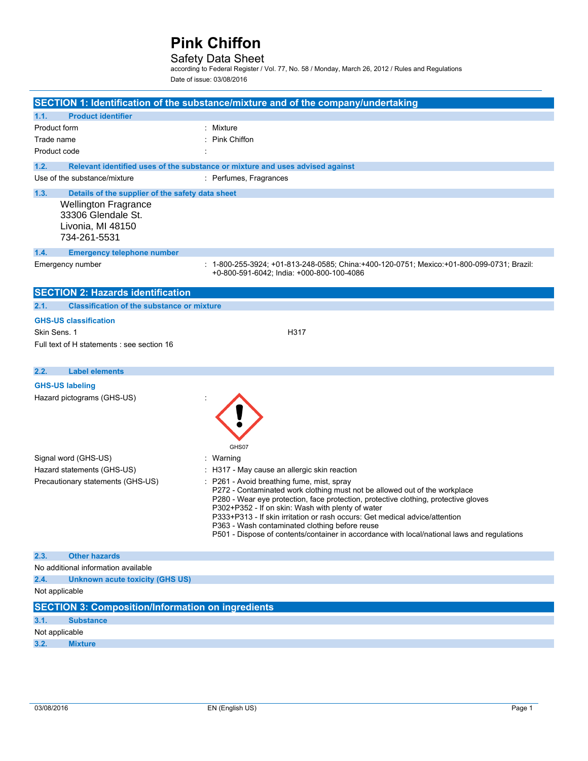## Safety Data Sheet

according to Federal Register / Vol. 77, No. 58 / Monday, March 26, 2012 / Rules and Regulations Date of issue: 03/08/2016

|                        |                                                                                                                                            | SECTION 1: Identification of the substance/mixture and of the company/undertaking                                                                                                                                                                                                                                                                                                                                                                                                                                                                  |
|------------------------|--------------------------------------------------------------------------------------------------------------------------------------------|----------------------------------------------------------------------------------------------------------------------------------------------------------------------------------------------------------------------------------------------------------------------------------------------------------------------------------------------------------------------------------------------------------------------------------------------------------------------------------------------------------------------------------------------------|
| 1.1.                   | <b>Product identifier</b>                                                                                                                  |                                                                                                                                                                                                                                                                                                                                                                                                                                                                                                                                                    |
| Product form           |                                                                                                                                            | : Mixture                                                                                                                                                                                                                                                                                                                                                                                                                                                                                                                                          |
| Trade name             |                                                                                                                                            | <b>Pink Chiffon</b>                                                                                                                                                                                                                                                                                                                                                                                                                                                                                                                                |
| Product code           |                                                                                                                                            |                                                                                                                                                                                                                                                                                                                                                                                                                                                                                                                                                    |
| 1.2.                   |                                                                                                                                            | Relevant identified uses of the substance or mixture and uses advised against                                                                                                                                                                                                                                                                                                                                                                                                                                                                      |
|                        | Use of the substance/mixture                                                                                                               | : Perfumes, Fragrances                                                                                                                                                                                                                                                                                                                                                                                                                                                                                                                             |
| 1.3.                   | Details of the supplier of the safety data sheet<br><b>Wellington Fragrance</b><br>33306 Glendale St.<br>Livonia, MI 48150<br>734-261-5531 |                                                                                                                                                                                                                                                                                                                                                                                                                                                                                                                                                    |
| 1.4.                   | <b>Emergency telephone number</b>                                                                                                          |                                                                                                                                                                                                                                                                                                                                                                                                                                                                                                                                                    |
|                        | Emergency number                                                                                                                           | : 1-800-255-3924; +01-813-248-0585; China:+400-120-0751; Mexico:+01-800-099-0731; Brazil:<br>+0-800-591-6042; India: +000-800-100-4086                                                                                                                                                                                                                                                                                                                                                                                                             |
|                        | <b>SECTION 2: Hazards identification</b>                                                                                                   |                                                                                                                                                                                                                                                                                                                                                                                                                                                                                                                                                    |
| 2.1.                   | <b>Classification of the substance or mixture</b>                                                                                          |                                                                                                                                                                                                                                                                                                                                                                                                                                                                                                                                                    |
|                        | <b>GHS-US classification</b>                                                                                                               |                                                                                                                                                                                                                                                                                                                                                                                                                                                                                                                                                    |
| Skin Sens. 1           |                                                                                                                                            | H317                                                                                                                                                                                                                                                                                                                                                                                                                                                                                                                                               |
|                        | Full text of H statements : see section 16                                                                                                 |                                                                                                                                                                                                                                                                                                                                                                                                                                                                                                                                                    |
| 2.2.                   | <b>Label elements</b>                                                                                                                      |                                                                                                                                                                                                                                                                                                                                                                                                                                                                                                                                                    |
|                        | <b>GHS-US labeling</b>                                                                                                                     |                                                                                                                                                                                                                                                                                                                                                                                                                                                                                                                                                    |
|                        | Hazard pictograms (GHS-US)                                                                                                                 | GHS07                                                                                                                                                                                                                                                                                                                                                                                                                                                                                                                                              |
|                        | Signal word (GHS-US)                                                                                                                       | : Warning                                                                                                                                                                                                                                                                                                                                                                                                                                                                                                                                          |
|                        | Hazard statements (GHS-US)<br>Precautionary statements (GHS-US)                                                                            | : H317 - May cause an allergic skin reaction<br>P261 - Avoid breathing fume, mist, spray<br>P272 - Contaminated work clothing must not be allowed out of the workplace<br>P280 - Wear eye protection, face protection, protective clothing, protective gloves<br>P302+P352 - If on skin: Wash with plenty of water<br>P333+P313 - If skin irritation or rash occurs: Get medical advice/attention<br>P363 - Wash contaminated clothing before reuse<br>P501 - Dispose of contents/container in accordance with local/national laws and regulations |
| 2.3.                   | <b>Other hazards</b>                                                                                                                       |                                                                                                                                                                                                                                                                                                                                                                                                                                                                                                                                                    |
|                        | No additional information available                                                                                                        |                                                                                                                                                                                                                                                                                                                                                                                                                                                                                                                                                    |
| 2.4.                   | <b>Unknown acute toxicity (GHS US)</b>                                                                                                     |                                                                                                                                                                                                                                                                                                                                                                                                                                                                                                                                                    |
| Not applicable         |                                                                                                                                            |                                                                                                                                                                                                                                                                                                                                                                                                                                                                                                                                                    |
|                        | <b>SECTION 3: Composition/Information on ingredients</b>                                                                                   |                                                                                                                                                                                                                                                                                                                                                                                                                                                                                                                                                    |
| 3.1.                   | <b>Substance</b>                                                                                                                           |                                                                                                                                                                                                                                                                                                                                                                                                                                                                                                                                                    |
| Not applicable<br>3.2. | <b>Mixture</b>                                                                                                                             |                                                                                                                                                                                                                                                                                                                                                                                                                                                                                                                                                    |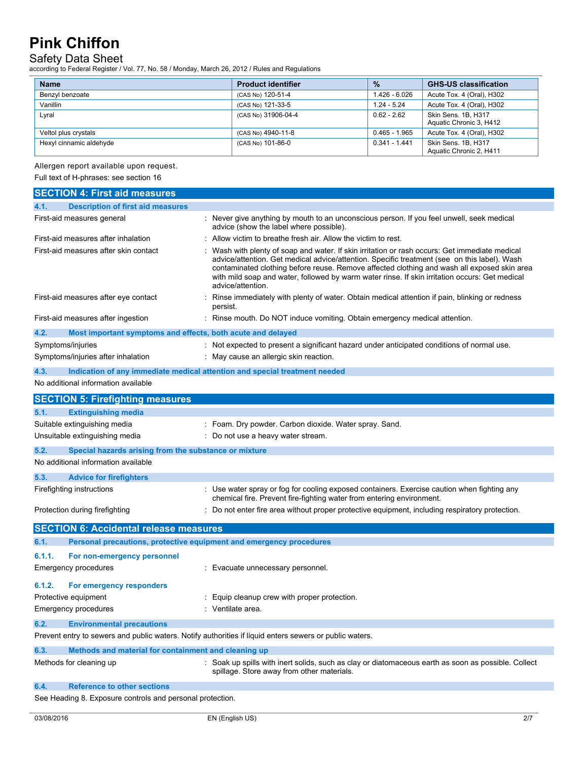## Safety Data Sheet

according to Federal Register / Vol. 77, No. 58 / Monday, March 26, 2012 / Rules and Regulations

| <b>Name</b>             | <b>Product identifier</b> | $\frac{9}{6}$   | <b>GHS-US classification</b>                   |
|-------------------------|---------------------------|-----------------|------------------------------------------------|
| Benzyl benzoate         | (CAS No) 120-51-4         | 1.426 - 6.026   | Acute Tox. 4 (Oral), H302                      |
| Vanillin                | (CAS No) 121-33-5         | $1.24 - 5.24$   | Acute Tox. 4 (Oral), H302                      |
| Lyral                   | (CAS No) 31906-04-4       | $0.62 - 2.62$   | Skin Sens, 1B, H317<br>Aquatic Chronic 3, H412 |
| Veltol plus crystals    | (CAS No) 4940-11-8        | $0.465 - 1.965$ | Acute Tox. 4 (Oral), H302                      |
| Hexyl cinnamic aldehyde | (CAS No) 101-86-0         | $0.341 - 1.441$ | Skin Sens. 1B, H317<br>Aquatic Chronic 2, H411 |

Allergen report available upon request.

Full text of H-phrases: see section 16

| <b>SECTION 4: First aid measures</b>                                                                    |                                                                                                                                                                                                                                                                                                                                                                                                                    |  |  |
|---------------------------------------------------------------------------------------------------------|--------------------------------------------------------------------------------------------------------------------------------------------------------------------------------------------------------------------------------------------------------------------------------------------------------------------------------------------------------------------------------------------------------------------|--|--|
| 4.1.<br><b>Description of first aid measures</b>                                                        |                                                                                                                                                                                                                                                                                                                                                                                                                    |  |  |
| First-aid measures general                                                                              | : Never give anything by mouth to an unconscious person. If you feel unwell, seek medical<br>advice (show the label where possible).                                                                                                                                                                                                                                                                               |  |  |
| First-aid measures after inhalation                                                                     | Allow victim to breathe fresh air. Allow the victim to rest.                                                                                                                                                                                                                                                                                                                                                       |  |  |
| First-aid measures after skin contact                                                                   | Wash with plenty of soap and water. If skin irritation or rash occurs: Get immediate medical<br>advice/attention. Get medical advice/attention. Specific treatment (see on this label). Wash<br>contaminated clothing before reuse. Remove affected clothing and wash all exposed skin area<br>with mild soap and water, followed by warm water rinse. If skin irritation occurs: Get medical<br>advice/attention. |  |  |
| First-aid measures after eye contact                                                                    | Rinse immediately with plenty of water. Obtain medical attention if pain, blinking or redness<br>persist.                                                                                                                                                                                                                                                                                                          |  |  |
| First-aid measures after ingestion                                                                      | : Rinse mouth. Do NOT induce vomiting. Obtain emergency medical attention.                                                                                                                                                                                                                                                                                                                                         |  |  |
| 4.2.<br>Most important symptoms and effects, both acute and delayed                                     |                                                                                                                                                                                                                                                                                                                                                                                                                    |  |  |
| Symptoms/injuries                                                                                       | : Not expected to present a significant hazard under anticipated conditions of normal use.                                                                                                                                                                                                                                                                                                                         |  |  |
| Symptoms/injuries after inhalation                                                                      | : May cause an allergic skin reaction.                                                                                                                                                                                                                                                                                                                                                                             |  |  |
| 4.3.                                                                                                    | Indication of any immediate medical attention and special treatment needed                                                                                                                                                                                                                                                                                                                                         |  |  |
| No additional information available                                                                     |                                                                                                                                                                                                                                                                                                                                                                                                                    |  |  |
| <b>SECTION 5: Firefighting measures</b>                                                                 |                                                                                                                                                                                                                                                                                                                                                                                                                    |  |  |
| 5.1.<br><b>Extinguishing media</b>                                                                      |                                                                                                                                                                                                                                                                                                                                                                                                                    |  |  |
| Suitable extinguishing media                                                                            | : Foam. Dry powder. Carbon dioxide. Water spray. Sand.                                                                                                                                                                                                                                                                                                                                                             |  |  |
| Unsuitable extinguishing media                                                                          | Do not use a heavy water stream.                                                                                                                                                                                                                                                                                                                                                                                   |  |  |
| 5.2.<br>Special hazards arising from the substance or mixture                                           |                                                                                                                                                                                                                                                                                                                                                                                                                    |  |  |
| No additional information available                                                                     |                                                                                                                                                                                                                                                                                                                                                                                                                    |  |  |
| 5.3.                                                                                                    |                                                                                                                                                                                                                                                                                                                                                                                                                    |  |  |
| <b>Advice for firefighters</b><br>Firefighting instructions                                             | : Use water spray or fog for cooling exposed containers. Exercise caution when fighting any                                                                                                                                                                                                                                                                                                                        |  |  |
|                                                                                                         | chemical fire. Prevent fire-fighting water from entering environment.                                                                                                                                                                                                                                                                                                                                              |  |  |
| Protection during firefighting                                                                          | : Do not enter fire area without proper protective equipment, including respiratory protection.                                                                                                                                                                                                                                                                                                                    |  |  |
| <b>SECTION 6: Accidental release measures</b>                                                           |                                                                                                                                                                                                                                                                                                                                                                                                                    |  |  |
| Personal precautions, protective equipment and emergency procedures<br>6.1.                             |                                                                                                                                                                                                                                                                                                                                                                                                                    |  |  |
| 6.1.1.<br>For non-emergency personnel                                                                   |                                                                                                                                                                                                                                                                                                                                                                                                                    |  |  |
| Emergency procedures                                                                                    | : Evacuate unnecessary personnel.                                                                                                                                                                                                                                                                                                                                                                                  |  |  |
|                                                                                                         |                                                                                                                                                                                                                                                                                                                                                                                                                    |  |  |
| 6.1.2.<br>For emergency responders                                                                      |                                                                                                                                                                                                                                                                                                                                                                                                                    |  |  |
| Protective equipment                                                                                    | Equip cleanup crew with proper protection.                                                                                                                                                                                                                                                                                                                                                                         |  |  |
| <b>Emergency procedures</b>                                                                             | : Ventilate area.                                                                                                                                                                                                                                                                                                                                                                                                  |  |  |
| 6.2.<br><b>Environmental precautions</b>                                                                |                                                                                                                                                                                                                                                                                                                                                                                                                    |  |  |
| Prevent entry to sewers and public waters. Notify authorities if liquid enters sewers or public waters. |                                                                                                                                                                                                                                                                                                                                                                                                                    |  |  |
| 6.3.<br>Methods and material for containment and cleaning up                                            |                                                                                                                                                                                                                                                                                                                                                                                                                    |  |  |
| Methods for cleaning up                                                                                 | : Soak up spills with inert solids, such as clay or diatomaceous earth as soon as possible. Collect<br>spillage. Store away from other materials.                                                                                                                                                                                                                                                                  |  |  |
| <b>Reference to other sections</b><br>6.4.                                                              |                                                                                                                                                                                                                                                                                                                                                                                                                    |  |  |
| See Heading 8. Exposure controls and personal protection.                                               |                                                                                                                                                                                                                                                                                                                                                                                                                    |  |  |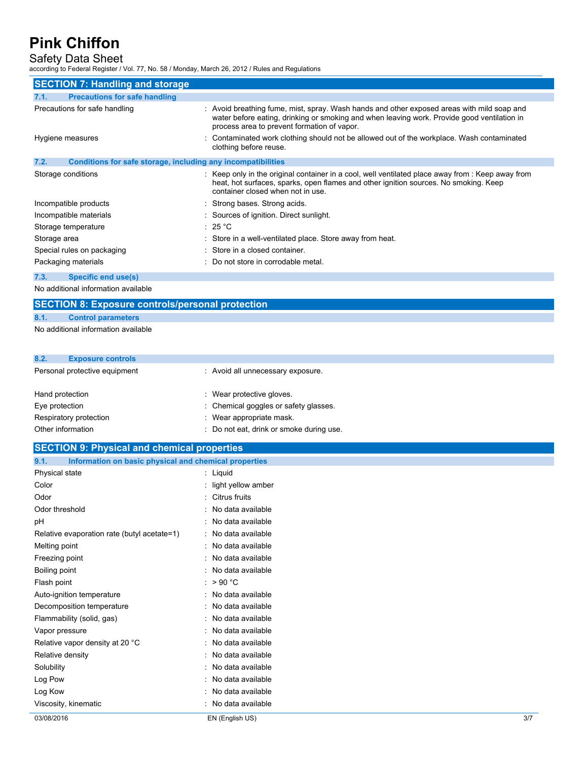## Safety Data Sheet

according to Federal Register / Vol. 77, No. 58 / Monday, March 26, 2012 / Rules and Regulations

| <b>SECTION 7: Handling and storage</b>                                      |                                                                                                                                                                                                                                                      |  |  |  |
|-----------------------------------------------------------------------------|------------------------------------------------------------------------------------------------------------------------------------------------------------------------------------------------------------------------------------------------------|--|--|--|
| 7.1.<br><b>Precautions for safe handling</b>                                |                                                                                                                                                                                                                                                      |  |  |  |
| Precautions for safe handling                                               | : Avoid breathing fume, mist, spray. Wash hands and other exposed areas with mild soap and<br>water before eating, drinking or smoking and when leaving work. Provide good ventilation in<br>process area to prevent formation of vapor.             |  |  |  |
| Hygiene measures                                                            | : Contaminated work clothing should not be allowed out of the workplace. Wash contaminated<br>clothing before reuse.                                                                                                                                 |  |  |  |
| 7.2.<br><b>Conditions for safe storage, including any incompatibilities</b> |                                                                                                                                                                                                                                                      |  |  |  |
| Storage conditions                                                          | $\therefore$ Keep only in the original container in a cool, well ventilated place away from $\therefore$ Keep away from<br>heat, hot surfaces, sparks, open flames and other ignition sources. No smoking. Keep<br>container closed when not in use. |  |  |  |
| Incompatible products                                                       | : Strong bases. Strong acids.                                                                                                                                                                                                                        |  |  |  |
| Incompatible materials                                                      | : Sources of ignition. Direct sunlight.                                                                                                                                                                                                              |  |  |  |
| Storage temperature                                                         | : 25 °C                                                                                                                                                                                                                                              |  |  |  |
| Storage area                                                                | : Store in a well-ventilated place. Store away from heat.                                                                                                                                                                                            |  |  |  |
| Special rules on packaging                                                  | : Store in a closed container.                                                                                                                                                                                                                       |  |  |  |
| Packaging materials                                                         | : Do not store in corrodable metal.                                                                                                                                                                                                                  |  |  |  |
| <b>Specific end use(s)</b><br>7.3.                                          |                                                                                                                                                                                                                                                      |  |  |  |

No additional information available

# **SECTION 8: Exposure controls/personal protection**

### **8.1. Control parameters**

No additional information available

| 8.2.            | <b>Exposure controls</b>      |                                   |
|-----------------|-------------------------------|-----------------------------------|
|                 | Personal protective equipment | : Avoid all unnecessary exposure. |
| Hand protection |                               | Maar protective aloves            |

| Hand protection        | : Wear protective gloves.                |
|------------------------|------------------------------------------|
| Eye protection         | : Chemical goggles or safety glasses.    |
| Respiratory protection | : Wear appropriate mask.                 |
| Other information      | : Do not eat, drink or smoke during use. |
|                        |                                          |

| <b>SECTION 9: Physical and chemical properties</b>            |                      |     |
|---------------------------------------------------------------|----------------------|-----|
| 9.1.<br>Information on basic physical and chemical properties |                      |     |
| Physical state                                                | : Liquid             |     |
| Color                                                         | : light yellow amber |     |
| Odor                                                          | : Citrus fruits      |     |
| Odor threshold                                                | : No data available  |     |
| pH                                                            | : No data available  |     |
| Relative evaporation rate (butyl acetate=1)                   | : No data available  |     |
| Melting point                                                 | : No data available  |     |
| Freezing point                                                | : No data available  |     |
| Boiling point                                                 | : No data available  |     |
| Flash point                                                   | : $>90^{\circ}$ C    |     |
| Auto-ignition temperature                                     | : No data available  |     |
| Decomposition temperature                                     | : No data available  |     |
| Flammability (solid, gas)                                     | : No data available  |     |
| Vapor pressure                                                | : No data available  |     |
| Relative vapor density at 20 °C                               | : No data available  |     |
| Relative density                                              | : No data available  |     |
| Solubility                                                    | : No data available  |     |
| Log Pow                                                       | : No data available  |     |
| Log Kow                                                       | : No data available  |     |
| Viscosity, kinematic                                          | : No data available  |     |
| 03/08/2016                                                    | EN (English US)      | 3/7 |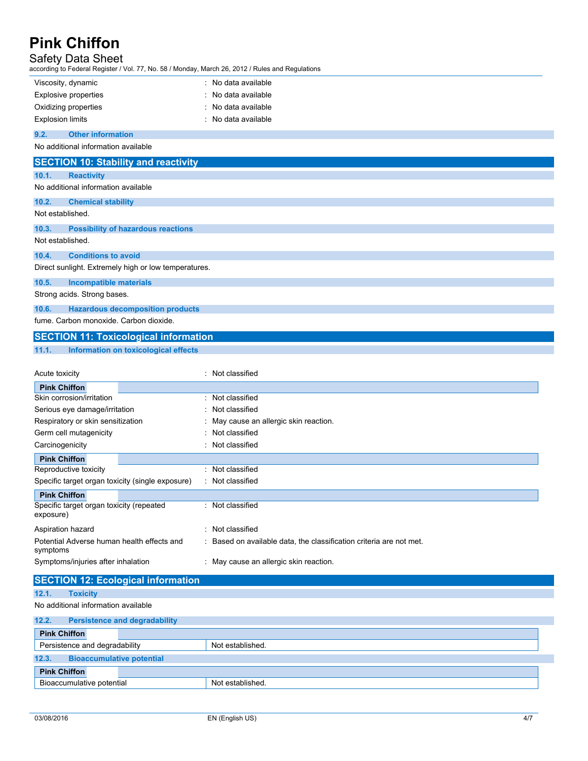## Safety Data Sheet

according to Federal Register / Vol. 77, No. 58 / Monday, March 26, 2012 / Rules and Regulations

| iccording to Federal Register / Vol. 77, NO. 007 Monday, March 20, 2012 / Rules and Regulations |                                                                     |
|-------------------------------------------------------------------------------------------------|---------------------------------------------------------------------|
| Viscosity, dynamic                                                                              | : No data available                                                 |
| <b>Explosive properties</b>                                                                     | : No data available                                                 |
| Oxidizing properties                                                                            | : No data available                                                 |
| <b>Explosion limits</b>                                                                         | : No data available                                                 |
| <b>Other information</b><br>9.2.                                                                |                                                                     |
| No additional information available                                                             |                                                                     |
| <b>SECTION 10: Stability and reactivity</b>                                                     |                                                                     |
| 10.1.<br><b>Reactivity</b>                                                                      |                                                                     |
| No additional information available                                                             |                                                                     |
| 10.2.<br><b>Chemical stability</b>                                                              |                                                                     |
| Not established.                                                                                |                                                                     |
| 10.3.<br><b>Possibility of hazardous reactions</b>                                              |                                                                     |
| Not established.                                                                                |                                                                     |
| 10.4.<br><b>Conditions to avoid</b>                                                             |                                                                     |
| Direct sunlight. Extremely high or low temperatures.                                            |                                                                     |
| 10.5.<br><b>Incompatible materials</b>                                                          |                                                                     |
| Strong acids. Strong bases.                                                                     |                                                                     |
| <b>Hazardous decomposition products</b><br>10.6.                                                |                                                                     |
| fume. Carbon monoxide. Carbon dioxide.                                                          |                                                                     |
|                                                                                                 |                                                                     |
| <b>SECTION 11: Toxicological information</b>                                                    |                                                                     |
| Information on toxicological effects<br>11.1.                                                   |                                                                     |
|                                                                                                 | : Not classified                                                    |
| Acute toxicity                                                                                  |                                                                     |
| <b>Pink Chiffon</b><br>Skin corrosion/irritation                                                | : Not classified                                                    |
| Serious eye damage/irritation                                                                   | : Not classified                                                    |
| Respiratory or skin sensitization                                                               | May cause an allergic skin reaction.                                |
| Germ cell mutagenicity                                                                          | : Not classified                                                    |
| Carcinogenicity                                                                                 | : Not classified                                                    |
| <b>Pink Chiffon</b>                                                                             |                                                                     |
| Reproductive toxicity                                                                           | : Not classified                                                    |
| Specific target organ toxicity (single exposure)                                                | : Not classified                                                    |
| <b>Pink Chiffon</b>                                                                             |                                                                     |
| Specific target organ toxicity (repeated                                                        | : Not classified                                                    |
| exposure)                                                                                       |                                                                     |
| Aspiration hazard                                                                               | : Not classified                                                    |
| Potential Adverse human health effects and<br>symptoms                                          | : Based on available data, the classification criteria are not met. |
| Symptoms/injuries after inhalation                                                              | : May cause an allergic skin reaction.                              |
|                                                                                                 |                                                                     |
| <b>SECTION 12: Ecological information</b>                                                       |                                                                     |
| 12.1.<br><b>Toxicity</b>                                                                        |                                                                     |
| No additional information available                                                             |                                                                     |
| 12.2.<br><b>Persistence and degradability</b>                                                   |                                                                     |
| <b>Pink Chiffon</b>                                                                             |                                                                     |
| Persistence and degradability                                                                   | Not established.                                                    |
| 12.3.<br><b>Bioaccumulative potential</b>                                                       |                                                                     |
| <b>Pink Chiffon</b>                                                                             |                                                                     |
| Bioaccumulative potential                                                                       | Not established.                                                    |
|                                                                                                 |                                                                     |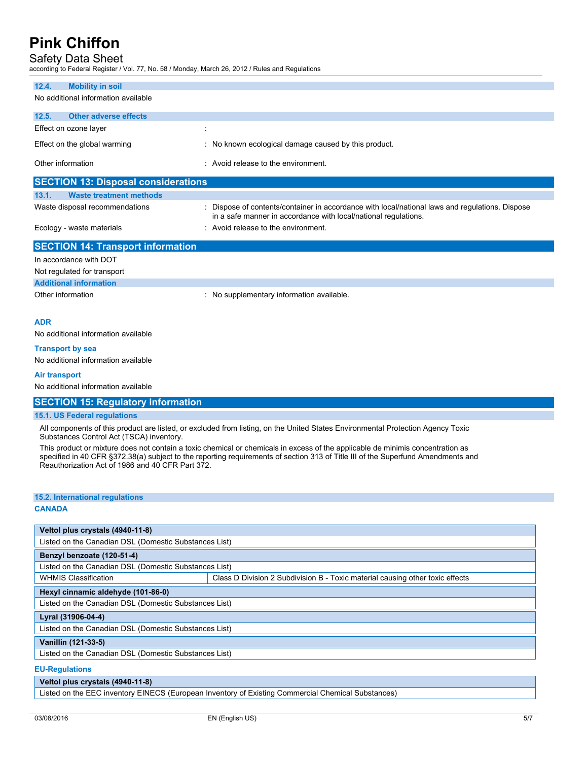## Safety Data Sheet

according to Federal Register / Vol. 77, No. 58 / Monday, March 26, 2012 / Rules and Regulations

| 12.4.             | <b>Mobility in soil</b>                                        |   |                                                                                                                                                                    |
|-------------------|----------------------------------------------------------------|---|--------------------------------------------------------------------------------------------------------------------------------------------------------------------|
|                   | No additional information available                            |   |                                                                                                                                                                    |
| 12.5.             | <b>Other adverse effects</b>                                   |   |                                                                                                                                                                    |
|                   | Effect on ozone layer                                          | ÷ |                                                                                                                                                                    |
|                   | Effect on the global warming                                   |   | : No known ecological damage caused by this product.                                                                                                               |
| Other information |                                                                |   | : Avoid release to the environment.                                                                                                                                |
|                   | <b>SECTION 13: Disposal considerations</b>                     |   |                                                                                                                                                                    |
| 13.1.             | <b>Waste treatment methods</b>                                 |   |                                                                                                                                                                    |
|                   | Waste disposal recommendations                                 |   | : Dispose of contents/container in accordance with local/national laws and regulations. Dispose<br>in a safe manner in accordance with local/national regulations. |
|                   | Ecology - waste materials                                      |   | : Avoid release to the environment.                                                                                                                                |
|                   | <b>SECTION 14: Transport information</b>                       |   |                                                                                                                                                                    |
|                   | In accordance with DOT                                         |   |                                                                                                                                                                    |
|                   | Not regulated for transport                                    |   |                                                                                                                                                                    |
|                   | <b>Additional information</b>                                  |   |                                                                                                                                                                    |
| Other information |                                                                |   | : No supplementary information available.                                                                                                                          |
| <b>ADR</b>        |                                                                |   |                                                                                                                                                                    |
|                   | No additional information available                            |   |                                                                                                                                                                    |
|                   | <b>Transport by sea</b><br>No additional information available |   |                                                                                                                                                                    |
| Air transport     |                                                                |   |                                                                                                                                                                    |
|                   |                                                                |   |                                                                                                                                                                    |

No additional information available

### **SECTION 15: Regulatory information**

### **15.1. US Federal regulations**

All components of this product are listed, or excluded from listing, on the United States Environmental Protection Agency Toxic Substances Control Act (TSCA) inventory.

This product or mixture does not contain a toxic chemical or chemicals in excess of the applicable de minimis concentration as specified in 40 CFR §372.38(a) subject to the reporting requirements of section 313 of Title III of the Superfund Amendments and Reauthorization Act of 1986 and 40 CFR Part 372.

### **15.2. International regulations CANADA**

| Veltol plus crystals (4940-11-8)                      |                                                                               |  |  |
|-------------------------------------------------------|-------------------------------------------------------------------------------|--|--|
| Listed on the Canadian DSL (Domestic Substances List) |                                                                               |  |  |
| Benzyl benzoate (120-51-4)                            |                                                                               |  |  |
| Listed on the Canadian DSL (Domestic Substances List) |                                                                               |  |  |
| <b>WHMIS Classification</b>                           | Class D Division 2 Subdivision B - Toxic material causing other toxic effects |  |  |
| Hexyl cinnamic aldehyde (101-86-0)                    |                                                                               |  |  |
| Listed on the Canadian DSL (Domestic Substances List) |                                                                               |  |  |
| Lyral (31906-04-4)                                    |                                                                               |  |  |
| Listed on the Canadian DSL (Domestic Substances List) |                                                                               |  |  |
| Vanillin (121-33-5)                                   |                                                                               |  |  |
| Listed on the Canadian DSL (Domestic Substances List) |                                                                               |  |  |
| <b>CU Demulations</b>                                 |                                                                               |  |  |

#### **EU-Regulations**

### **Veltol plus crystals (4940-11-8)**

Listed on the EEC inventory EINECS (European Inventory of Existing Commercial Chemical Substances)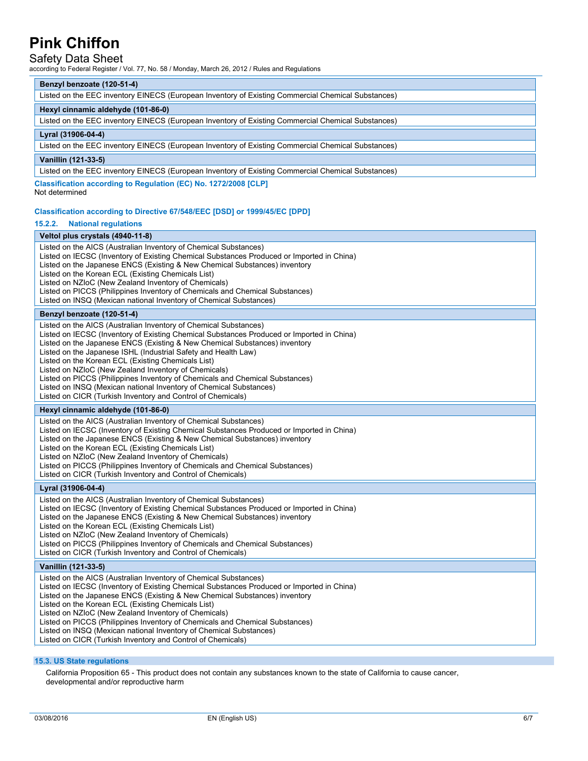### Safety Data Sheet

according to Federal Register / Vol. 77, No. 58 / Monday, March 26, 2012 / Rules and Regulations

### **Benzyl benzoate (120-51-4)**

Listed on the EEC inventory EINECS (European Inventory of Existing Commercial Chemical Substances)

### **Hexyl cinnamic aldehyde (101-86-0)**

Listed on the EEC inventory EINECS (European Inventory of Existing Commercial Chemical Substances)

### **Lyral (31906-04-4)**

Listed on the EEC inventory EINECS (European Inventory of Existing Commercial Chemical Substances)

### **Vanillin (121-33-5)**

Listed on the EEC inventory EINECS (European Inventory of Existing Commercial Chemical Substances)

**Classification according to Regulation (EC) No. 1272/2008 [CLP]**

#### Not determined

#### **Classification according to Directive 67/548/EEC [DSD] or 1999/45/EC [DPD]**

#### **15.2.2. National regulations**

**Veltol plus crystals (4940-11-8)** Listed on the AICS (Australian Inventory of Chemical Substances) Listed on IECSC (Inventory of Existing Chemical Substances Produced or Imported in China) Listed on the Japanese ENCS (Existing & New Chemical Substances) inventory Listed on the Korean ECL (Existing Chemicals List) Listed on NZIoC (New Zealand Inventory of Chemicals) Listed on PICCS (Philippines Inventory of Chemicals and Chemical Substances) Listed on INSQ (Mexican national Inventory of Chemical Substances) **Benzyl benzoate (120-51-4)** Listed on the AICS (Australian Inventory of Chemical Substances) Listed on IECSC (Inventory of Existing Chemical Substances Produced or Imported in China) Listed on the Japanese ENCS (Existing & New Chemical Substances) inventory Listed on the Japanese ISHL (Industrial Safety and Health Law) Listed on the Korean ECL (Existing Chemicals List) Listed on NZIoC (New Zealand Inventory of Chemicals) Listed on PICCS (Philippines Inventory of Chemicals and Chemical Substances) Listed on INSQ (Mexican national Inventory of Chemical Substances) Listed on CICR (Turkish Inventory and Control of Chemicals) **Hexyl cinnamic aldehyde (101-86-0)** Listed on the AICS (Australian Inventory of Chemical Substances) Listed on IECSC (Inventory of Existing Chemical Substances Produced or Imported in China) Listed on the Japanese ENCS (Existing & New Chemical Substances) inventory Listed on the Korean ECL (Existing Chemicals List) Listed on NZIoC (New Zealand Inventory of Chemicals) Listed on PICCS (Philippines Inventory of Chemicals and Chemical Substances) Listed on CICR (Turkish Inventory and Control of Chemicals) **Lyral (31906-04-4)** Listed on the AICS (Australian Inventory of Chemical Substances) Listed on IECSC (Inventory of Existing Chemical Substances Produced or Imported in China) Listed on the Japanese ENCS (Existing & New Chemical Substances) inventory Listed on the Korean ECL (Existing Chemicals List) Listed on NZIoC (New Zealand Inventory of Chemicals) Listed on PICCS (Philippines Inventory of Chemicals and Chemical Substances) Listed on CICR (Turkish Inventory and Control of Chemicals) **Vanillin (121-33-5)** Listed on the AICS (Australian Inventory of Chemical Substances) Listed on IECSC (Inventory of Existing Chemical Substances Produced or Imported in China) Listed on the Japanese ENCS (Existing & New Chemical Substances) inventory Listed on the Korean ECL (Existing Chemicals List) Listed on NZIoC (New Zealand Inventory of Chemicals) Listed on PICCS (Philippines Inventory of Chemicals and Chemical Substances) Listed on INSQ (Mexican national Inventory of Chemical Substances)

Listed on CICR (Turkish Inventory and Control of Chemicals)

### **15.3. US State regulations**

California Proposition 65 - This product does not contain any substances known to the state of California to cause cancer, developmental and/or reproductive harm